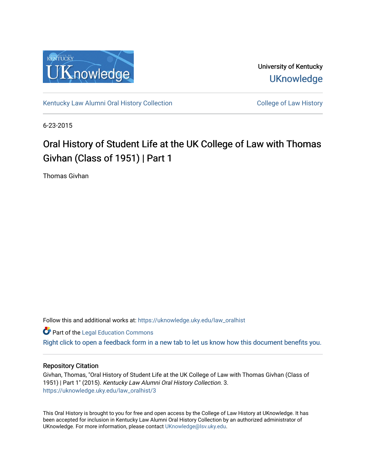

University of Kentucky **UKnowledge** 

[Kentucky Law Alumni Oral History Collection](https://uknowledge.uky.edu/law_oralhist) **Collection** College of Law History

6-23-2015

# Oral History of Student Life at the UK College of Law with Thomas Givhan (Class of 1951) | Part 1

Thomas Givhan

Follow this and additional works at: [https://uknowledge.uky.edu/law\\_oralhist](https://uknowledge.uky.edu/law_oralhist?utm_source=uknowledge.uky.edu%2Flaw_oralhist%2F3&utm_medium=PDF&utm_campaign=PDFCoverPages)

**Part of the Legal Education Commons** 

[Right click to open a feedback form in a new tab to let us know how this document benefits you.](https://uky.az1.qualtrics.com/jfe/form/SV_9mq8fx2GnONRfz7)

## Repository Citation

Givhan, Thomas, "Oral History of Student Life at the UK College of Law with Thomas Givhan (Class of 1951) | Part 1" (2015). Kentucky Law Alumni Oral History Collection. 3. [https://uknowledge.uky.edu/law\\_oralhist/3](https://uknowledge.uky.edu/law_oralhist/3?utm_source=uknowledge.uky.edu%2Flaw_oralhist%2F3&utm_medium=PDF&utm_campaign=PDFCoverPages)

This Oral History is brought to you for free and open access by the College of Law History at UKnowledge. It has been accepted for inclusion in Kentucky Law Alumni Oral History Collection by an authorized administrator of UKnowledge. For more information, please contact [UKnowledge@lsv.uky.edu](mailto:UKnowledge@lsv.uky.edu).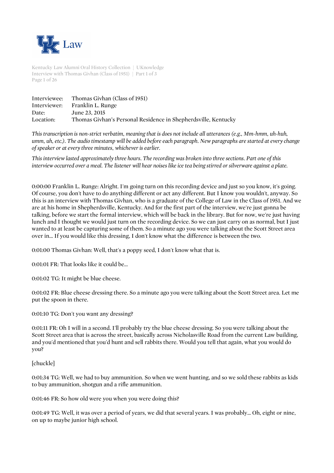

Kentucky Law Alumni Oral History Collection | UKnowledge Interview with Thomas Givhan (Class of 1951) | Part 1 of 3 Page 1 of 26

| Interviewee:<br>Interviewer: | Thomas Givhan (Class of 1951)<br>Franklin L. Runge             |
|------------------------------|----------------------------------------------------------------|
| Date:                        | June 23, 2015                                                  |
| Location:                    | Thomas Givhan's Personal Residence in Shepherdsville, Kentucky |
|                              |                                                                |

*This transcription is non-strict verbatim, meaning that is does not include all utterances (e.g., Mm-hmm, uh-huh, umm, uh, etc.). The audio timestamp will be added before each paragraph. New paragraphs are started at every change of speaker or at every three minutes, whichever is earlier.*

*This interview lasted approximately three hours. The recording was broken into three sections. Part one of this interview occurred over a meal. The listener will hear noises like ice tea being stirred or silverware against a plate.*

0:00:00 Franklin L. Runge: Alright. I'm going turn on this recording device and just so you know, it's going. Of course, you don't have to do anything different or act any different. But I know you wouldn't, anyway. So this is an interview with Thomas Givhan, who is a graduate of the College of Law in the Class of 1951. And we are at his home in Shepherdsville, Kentucky. And for the first part of the interview, we're just gonna be talking, before we start the formal interview, which will be back in the library. But for now, we're just having lunch and I thought we would just turn on the recording device. So we can just carry on as normal, but I just wanted to at least be capturing some of them. So a minute ago you were talking about the Scott Street area over in... If you would like this dressing, I don't know what the difference is between the two.

0:01:00 Thomas Givhan: Well, that's a poppy seed, I don't know what that is.

0:01:01 FR: That looks like it could be...

0:01:02 TG: It might be blue cheese.

0:01:02 FR: Blue cheese dressing there. So a minute ago you were talking about the Scott Street area. Let me put the spoon in there.

0:01:10 TG: Don't you want any dressing?

0:01:11 FR: Oh I will in a second. I'll probably try the blue cheese dressing. So you were talking about the Scott Street area that is across the street, basically across Nicholasville Road from the current Law building, and you'd mentioned that you'd hunt and sell rabbits there. Would you tell that again, what you would do you?

[chuckle]

0:01:34 TG: Well, we had to buy ammunition. So when we went hunting, and so we sold these rabbits as kids to buy ammunition, shotgun and a rifle ammunition.

0:01:46 FR: So how old were you when you were doing this?

0:01:49 TG: Well, it was over a period of years, we did that several years. I was probably... Oh, eight or nine, on up to maybe junior high school.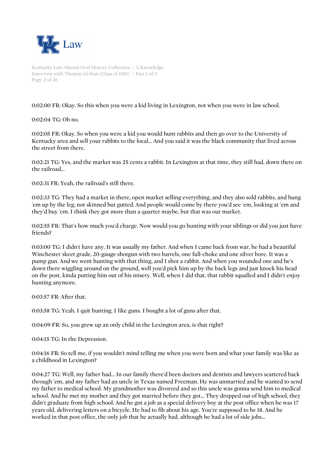

Kentucky Law Alumni Oral History Collection | UKnowledge Interview with Thomas Givhan (Class of 1951) | Part 1 of 3 Page 2 of 26

0:02:00 FR: Okay. So this when you were a kid living in Lexington, not when you were in law school.

0:02:04 TG: Oh no.

0:02:05 FR: Okay. So when you were a kid you would hunt rabbits and then go over to the University of Kentucky area and sell your rabbits to the local... And you said it was the black community that lived across the street from there.

0:02:21 TG: Yes, and the market was 25 cents a rabbit. In Lexington at that time, they still had, down there on the railroad...

0:02:31 FR: Yeah, the railroad's still there.

0:02:33 TG: They had a market in there, open market selling everything, and they also sold rabbits, and hung 'em up by the leg, not skinned but gutted. And people would come by there you'd see 'em, looking at 'em and they'd buy 'em. I think they got more than a quarter maybe, but that was our market.

0:02:55 FR: That's how much you'd charge. Now would you go hunting with your siblings or did you just have friends?

0:03:00 TG: I didn't have any. It was usually my father. And when I came back from war, he had a beautiful Winchester skeet grade, 20-gauge shotgun with two barrels, one full-choke and one silver bore. It was a pump gun. And we went hunting with that thing, and I shot a rabbit. And when you wounded one and he's down there wiggling around on the ground, well you'd pick him up by the back legs and just knock his head on the post, kinda putting him out of his misery. Well, when I did that, that rabbit squalled and I didn't enjoy hunting anymore.

0:03:57 FR: After that.

0:03:58 TG: Yeah. I quit hunting. I like guns. I bought a lot of guns after that.

0:04:09 FR: So, you grew up an only child in the Lexington area, is that right?

0:04:15 TG: In the Depression.

0:04:16 FR: So tell me, if you wouldn't mind telling me when you were born and what your family was like as a childhood in Lexington?

0:04:27 TG: Well, my father had... In our family there'd been doctors and dentists and lawyers scattered back through 'em, and my father had an uncle in Texas named Freeman. He was unmarried and he wanted to send my father to medical school. My grandmother was divorced and so this uncle was gonna send him to medical school. And he met my mother and they got married before they got... They dropped out of high school, they didn't graduate from high school. And he got a job as a special delivery boy at the post office when he was 17 years old, delivering letters on a bicycle. He had to fib about his age. You're supposed to be 18. And he worked in that post office, the only job that he actually had, although he had a lot of side jobs...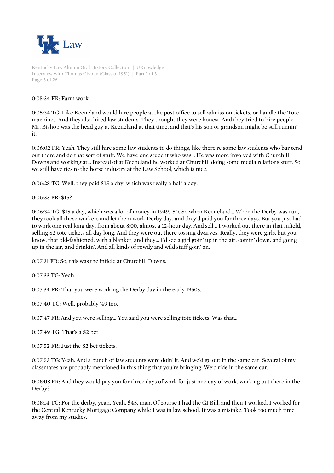

Kentucky Law Alumni Oral History Collection | UKnowledge Interview with Thomas Givhan (Class of 1951) | Part 1 of 3 Page 3 of 26

0:05:34 FR: Farm work.

0:05:34 TG: Like Keeneland would hire people at the post office to sell admission tickets, or handle the Tote machines. And they also hired law students. They thought they were honest. And they tried to hire people. Mr. Bishop was the head guy at Keeneland at that time, and that's his son or grandson might be still runnin' it.

0:06:02 FR: Yeah. They still hire some law students to do things, like there're some law students who bar tend out there and do that sort of stuff. We have one student who was... He was more involved with Churchill Downs and working at... Instead of at Keeneland he worked at Churchill doing some media relations stuff. So we still have ties to the horse industry at the Law School, which is nice.

0:06:28 TG: Well, they paid \$15 a day, which was really a half a day.

0:06:33 FR: \$15?

0:06:34 TG: \$15 a day, which was a lot of money in 1949, '50. So when Keeneland... When the Derby was run, they took all these workers and let them work Derby day, and they'd paid you for three days. But you just had to work one real long day, from about 8:00, almost a 12-hour day. And sell... I worked out there in that infield, selling \$2 tote tickets all day long. And they were out there tossing dwarves. Really, they were girls, but you know, that old-fashioned, with a blanket, and they... I'd see a girl goin' up in the air, comin' down, and going up in the air, and drinkin'. And all kinds of rowdy and wild stuff goin' on.

0:07:31 FR: So, this was the infield at Churchill Downs.

0:07:33 TG: Yeah.

0:07:34 FR: That you were working the Derby day in the early 1950s.

0:07:40 TG: Well, probably '49 too.

0:07:47 FR: And you were selling... You said you were selling tote tickets. Was that...

0:07:49 TG: That's a \$2 bet.

0:07:52 FR: Just the \$2 bet tickets.

0:07:53 TG: Yeah. And a bunch of law students were doin' it. And we'd go out in the same car. Several of my classmates are probably mentioned in this thing that you're bringing. We'd ride in the same car.

0:08:08 FR: And they would pay you for three days of work for just one day of work, working out there in the Derby?

0:08:14 TG: For the derby, yeah. Yeah. \$45, man. Of course I had the GI Bill, and then I worked. I worked for the Central Kentucky Mortgage Company while I was in law school. It was a mistake. Took too much time away from my studies.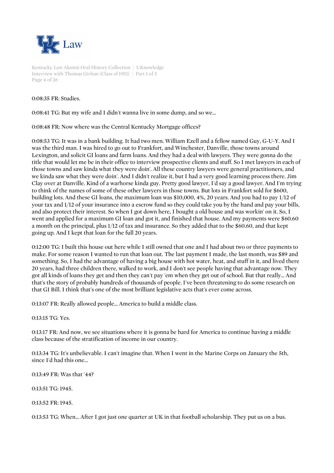

Kentucky Law Alumni Oral History Collection | UKnowledge Interview with Thomas Givhan (Class of 1951) | Part 1 of 3 Page 4 of 26

0:08:35 FR: Studies.

0:08:41 TG: But my wife and I didn't wanna live in some dump, and so we...

0:08:48 FR: Now where was the Central Kentucky Mortgage offices?

0:08:53 TG: It was in a bank building. It had two men. William Ezell and a fellow named Guy, G-U-Y. And I was the third man. I was hired to go out to Frankfort, and Winchester, Danville, those towns around Lexington, and solicit GI loans and farm loans. And they had a deal with lawyers. They were gonna do the title that would let me be in their office to interview prospective clients and stuff. So I met lawyers in each of those towns and saw kinda what they were doin'. All these country lawyers were general practitioners, and we kinda saw what they were doin'. And I didn't realize it, but I had a very good learning process there. Jim Clay over at Danville. Kind of a warhorse kinda guy. Pretty good lawyer, I'd say a good lawyer. And I'm trying to think of the names of some of these other lawyers in those towns. But lots in Frankfort sold for \$600, building lots. And these GI loans, the maximum loan was \$10,000, 4%, 20 years. And you had to pay 1/12 of your tax and 1/12 of your insurance into a escrow fund so they could take you by the hand and pay your bills, and also protect their interest. So when I got down here, I bought a old house and was workin' on it. So, I went and applied for a maximum GI loan and got it, and finished that house. And my payments were \$60.60 a month on the principal, plus 1/12 of tax and insurance. So they added that to the \$60.60, and that kept going up. And I kept that loan for the full 20 years.

0:12:00 TG: I built this house out here while I still owned that one and I had about two or three payments to make. For some reason I wanted to run that loan out. The last payment I made, the last month, was \$89 and something. So, I had the advantage of having a big house with hot water, heat, and stuff in it, and lived there 20 years, had three children there, walked to work, and I don't see people having that advantage now. They got all kinds of loans they get and then they can't pay 'em when they get out of school. But that really... And that's the story of probably hundreds of thousands of people. I've been threatening to do some research on that GI Bill. I think that's one of the most brilliant legislative acts that's ever come across.

0:13:07 FR: Really allowed people... America to build a middle class.

0:13:15 TG: Yes.

0:13:17 FR: And now, we see situations where it is gonna be hard for America to continue having a middle class because of the stratification of income in our country.

0:13:34 TG: It's unbelievable. I can't imagine that. When I went in the Marine Corps on January the 5th, since I'd had this one...

0:13:49 FR: Was that '44?

0:13:51 TG: 1945.

0:13:52 FR: 1945.

0:13:53 TG: When... After I got just one quarter at UK in that football scholarship. They put us on a bus.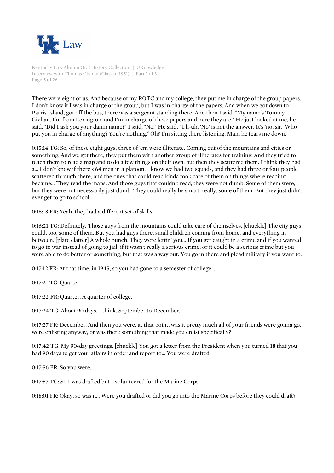

Kentucky Law Alumni Oral History Collection | UKnowledge Interview with Thomas Givhan (Class of 1951) | Part 1 of 3 Page 5 of 26

There were eight of us. And because of my ROTC and my college, they put me in charge of the group papers. I don't know if I was in charge of the group, but I was in charge of the papers. And when we got down to Parris Island, got off the bus, there was a sergeant standing there. And then I said, "My name's Tommy Givhan. I'm from Lexington, and I'm in charge of these papers and here they are." He just looked at me, he said, "Did I ask you your damn name?" I said, "No." He said, "Uh-uh. 'No' is not the answer. It's 'no, sir.' Who put you in charge of anything? You're nothing." Oh? I'm sitting there listening. Man, he tears me down.

0:15:14 TG: So, of these eight guys, three of 'em were illiterate. Coming out of the mountains and cities or something. And we got there, they put them with another group of illiterates for training. And they tried to teach them to read a map and to do a few things on their own, but then they scattered them. I think they had a... I don't know if there's 64 men in a platoon. I know we had two squads, and they had three or four people scattered through there, and the ones that could read kinda took care of them on things where reading became... They read the maps. And those guys that couldn't read, they were not dumb. Some of them were, but they were not necessarily just dumb. They could really be smart, really, some of them. But they just didn't ever get to go to school.

0:16:18 FR: Yeah, they had a different set of skills.

0:16:21 TG: Definitely. Those guys from the mountains could take care of themselves. [chuckle] The city guys could, too, some of them. But you had guys there, small children coming from home, and everything in between. [plate clatter] A whole bunch. They were lettin' you... If you get caught in a crime and if you wanted to go to war instead of going to jail, if it wasn't really a serious crime, or it could be a serious crime but you were able to do better or something, but that was a way out. You go in there and plead military if you want to.

0:17:12 FR: At that time, in 1945, so you had gone to a semester of college...

0:17:21 TG: Quarter.

0:17:22 FR: Quarter. A quarter of college.

0:17:24 TG: About 90 days, I think. September to December.

0:17:27 FR: December. And then you were, at that point, was it pretty much all of your friends were gonna go, were enlisting anyway, or was there something that made you enlist specifically?

0:17:42 TG: My 90-day greetings. [chuckle] You got a letter from the President when you turned 18 that you had 90 days to get your affairs in order and report to... You were drafted.

0:17:56 FR: So you were...

0:17:57 TG: So I was drafted but I volunteered for the Marine Corps.

0:18:01 FR: Okay, so was it... Were you drafted or did you go into the Marine Corps before they could draft?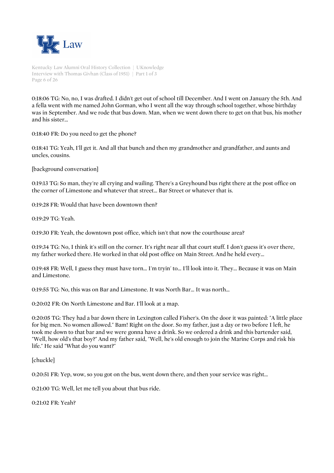

Kentucky Law Alumni Oral History Collection | UKnowledge Interview with Thomas Givhan (Class of 1951) | Part 1 of 3 Page 6 of 26

0:18:06 TG: No, no, I was drafted. I didn't get out of school till December. And I went on January the 5th. And a fella went with me named John Gorman, who I went all the way through school together, whose birthday was in September. And we rode that bus down. Man, when we went down there to get on that bus, his mother and his sister...

0:18:40 FR: Do you need to get the phone?

0:18:41 TG: Yeah, I'll get it. And all that bunch and then my grandmother and grandfather, and aunts and uncles, cousins.

[background conversation]

0:19:13 TG: So man, they're all crying and wailing. There's a Greyhound bus right there at the post office on the corner of Limestone and whatever that street... Bar Street or whatever that is.

0:19:28 FR: Would that have been downtown then?

0:19:29 TG: Yeah.

0:19:30 FR: Yeah, the downtown post office, which isn't that now the courthouse area?

0:19:34 TG: No, I think it's still on the corner. It's right near all that court stuff. I don't guess it's over there, my father worked there. He worked in that old post office on Main Street. And he held every...

0:19:48 FR: Well, I guess they must have torn... I'm tryin' to... I'll look into it. They... Because it was on Main and Limestone.

0:19:55 TG: No, this was on Bar and Limestone. It was North Bar... It was north...

0:20:02 FR: On North Limestone and Bar. I'll look at a map.

0:20:05 TG: They had a bar down there in Lexington called Fisher's. On the door it was painted: "A little place for big men. No women allowed." Bam! Right on the door. So my father, just a day or two before I left, he took me down to that bar and we were gonna have a drink. So we ordered a drink and this bartender said, "Well, how old's that boy?" And my father said, "Well, he's old enough to join the Marine Corps and risk his life." He said "What do you want?"

[chuckle]

0:20:51 FR: Yep, wow, so you got on the bus, went down there, and then your service was right...

0:21:00 TG: Well, let me tell you about that bus ride.

0:21:02 FR: Yeah?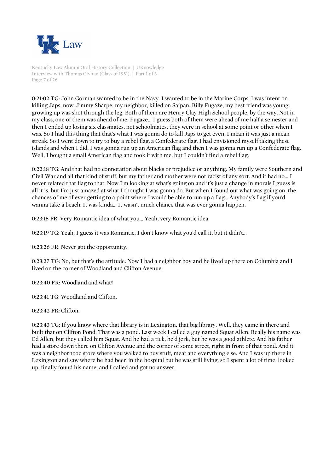

Kentucky Law Alumni Oral History Collection | UKnowledge Interview with Thomas Givhan (Class of 1951) | Part 1 of 3 Page 7 of 26

0:21:02 TG: John Gorman wanted to be in the Navy. I wanted to be in the Marine Corps. I was intent on killing Japs, now. Jimmy Sharpe, my neighbor, killed on Saipan, Billy Fugaze, my best friend was young growing up was shot through the leg. Both of them are Henry Clay High School people, by the way. Not in my class, one of them was ahead of me, Fugaze... I guess both of them were ahead of me half a semester and then I ended up losing six classmates, not schoolmates, they were in school at some point or other when I was. So I had this thing that that's what I was gonna do to kill Japs to get even, I mean it was just a mean streak. So I went down to try to buy a rebel flag, a Confederate flag. I had envisioned myself taking these islands and when I did, I was gonna run up an American flag and then I was gonna run up a Confederate flag. Well, I bought a small American flag and took it with me, but I couldn't find a rebel flag.

0:22:18 TG: And that had no connotation about blacks or prejudice or anything. My family were Southern and Civil War and all that kind of stuff, but my father and mother were not racist of any sort. And it had no... I never related that flag to that. Now I'm looking at what's going on and it's just a change in morals I guess is all it is, but I'm just amazed at what I thought I was gonna do. But when I found out what was going on, the chances of me of ever getting to a point where I would be able to run up a flag... Anybody's flag if you'd wanna take a beach. It was kinda... It wasn't much chance that was ever gonna happen.

0:23:15 FR: Very Romantic idea of what you... Yeah, very Romantic idea.

0:23:19 TG: Yeah, I guess it was Romantic, I don't know what you'd call it, but it didn't...

0:23:26 FR: Never got the opportunity.

0:23:27 TG: No, but that's the attitude. Now I had a neighbor boy and he lived up there on Columbia and I lived on the corner of Woodland and Clifton Avenue.

0:23:40 FR: Woodland and what?

0:23:41 TG: Woodland and Clifton.

0:23:42 FR: Clifton.

0:23:43 TG: If you know where that library is in Lexington, that big library. Well, they came in there and built that on Clifton Pond. That was a pond. Last week I called a guy named Squat Allen. Really his name was Ed Allen, but they called him Squat. And he had a tick, he'd jerk, but he was a good athlete. And his father had a store down there on Clifton Avenue and the corner of some street, right in front of that pond. And it was a neighborhood store where you walked to buy stuff, meat and everything else. And I was up there in Lexington and saw where he had been in the hospital but he was still living, so I spent a lot of time, looked up, finally found his name, and I called and got no answer.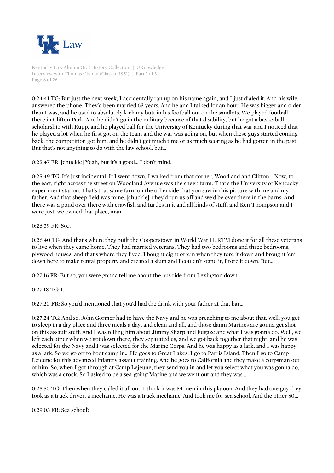

Kentucky Law Alumni Oral History Collection | UKnowledge Interview with Thomas Givhan (Class of 1951) | Part 1 of 3 Page 8 of 26

0:24:41 TG: But just the next week, I accidentally ran up on his name again, and I just dialed it. And his wife answered the phone. They'd been married 63 years. And he and I talked for an hour. He was bigger and older than I was, and he used to absolutely kick my butt in his football out on the sandlots. We played football there in Clifton Park. And he didn't go in the military because of that disability, but he got a basketball scholarship with Rupp, and he played ball for the University of Kentucky during that war and I noticed that he played a lot when he first got on the team and the war was going on, but when these guys started coming back, the competition got him, and he didn't get much time or as much scoring as he had gotten in the past. But that's not anything to do with the law school, but...

0:25:47 FR: [chuckle] Yeah, but it's a good... I don't mind.

0:25:49 TG: It's just incidental. If I went down, I walked from that corner, Woodland and Clifton... Now, to the east, right across the street on Woodland Avenue was the sheep farm. That's the University of Kentucky experiment station. That's that same farm on the other side that you saw in this picture with me and my father. And that sheep field was mine. [chuckle] They'd run us off and we'd be over there in the barns. And there was a pond over there with crawfish and turtles in it and all kinds of stuff, and Ken Thompson and I were just, we owned that place, man.

 $0.26:39$  FR $.$  So...

0:26:40 TG: And that's where they built the Cooperstown in World War II, RTM done it for all these veterans to live when they came home. They had married veterans. They had two bedrooms and three bedrooms, plywood houses, and that's where they lived. I bought eight of 'em when they tore it down and brought 'em down here to make rental property and created a slum and I couldn't stand it, I tore it down. But...

0:27:16 FR: But so, you were gonna tell me about the bus ride from Lexington down.

0:27:18 TG: I...

0:27:20 FR: So you'd mentioned that you'd had the drink with your father at that bar...

0:27:24 TG: And so, John Gormer had to have the Navy and he was preaching to me about that, well, you get to sleep in a dry place and three meals a day, and clean and all, and those damn Marines are gonna get shot on this assault stuff. And I was telling him about Jimmy Sharp and Fugaze and what I was gonna do. Well, we left each other when we got down there, they separated us, and we got back together that night, and he was selected for the Navy and I was selected for the Marine Corps. And he was happy as a lark, and I was happy as a lark. So we go off to boot camp in... He goes to Great Lakes, I go to Parris Island. Then I go to Camp Lejeune for this advanced infantry assault training. And he goes to California and they make a corpsman out of him. So, when I got through at Camp Lejeune, they send you in and let you select what you was gonna do, which was a crock. So I asked to be a sea-going Marine and we went out and they was...

0:28:50 TG: Then when they called it all out, I think it was 54 men in this platoon. And they had one guy they took as a truck driver, a mechanic. He was a truck mechanic. And took me for sea school. And the other 50...

0:29:03 FR: Sea school?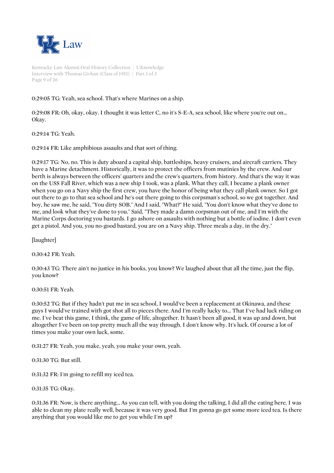

Kentucky Law Alumni Oral History Collection | UKnowledge Interview with Thomas Givhan (Class of 1951) | Part 1 of 3 Page 9 of 26

# 0:29:05 TG: Yeah, sea school. That's where Marines on a ship.

0:29:08 FR: Oh, okay, okay. I thought it was letter C, no it's S-E-A, sea school, like where you're out on... Okay.

0:29:14 TG: Yeah.

0:29:14 FR: Like amphibious assaults and that sort of thing.

0:29:17 TG: No, no. This is duty aboard a capital ship, battleships, heavy cruisers, and aircraft carriers. They have a Marine detachment. Historically, it was to protect the officers from mutinies by the crew. And our berth is always between the officers' quarters and the crew's quarters, from history. And that's the way it was on the USS Fall River, which was a new ship I took, was a plank. What they call, I became a plank owner when you go on a Navy ship the first crew, you have the honor of being what they call plank owner. So I got out there to go to that sea school and he's out there going to this corpsman's school, so we got together. And boy, he saw me, he said, "You dirty SOB." And I said, "What?" He said, "You don't know what they've done to me, and look what they've done to you." Said, "They made a damn corpsman out of me, and I'm with the Marine Corps doctoring you bastards. I go ashore on assaults with nothing but a bottle of iodine. I don't even get a pistol. And you, you no-good bastard, you are on a Navy ship. Three meals a day, in the dry."

[laughter]

0:30:42 FR: Yeah.

0:30:43 TG: There ain't no justice in his books, you know? We laughed about that all the time, just the flip, you know?

0:30:51 FR: Yeah.

0:30:52 TG: But if they hadn't put me in sea school, I would've been a replacement at Okinawa, and these guys I would've trained with got shot all to pieces there. And I'm really lucky to... That I've had luck riding on me. I've beat this game, I think, the game of life, altogether. It hasn't been all good, it was up and down, but altogether I've been on top pretty much all the way through. I don't know why. It's luck. Of course a lot of times you make your own luck, some.

0:31:27 FR: Yeah, you make, yeah, you make your own, yeah.

0:31:30 TG: But still.

0:31:32 FR: I'm going to refill my iced tea.

0:31:35 TG: Okay.

0:31:36 FR: Now, is there anything... As you can tell, with you doing the talking, I did all the eating here. I was able to clean my plate really well, because it was very good. But I'm gonna go get some more iced tea. Is there anything that you would like me to get you while I'm up?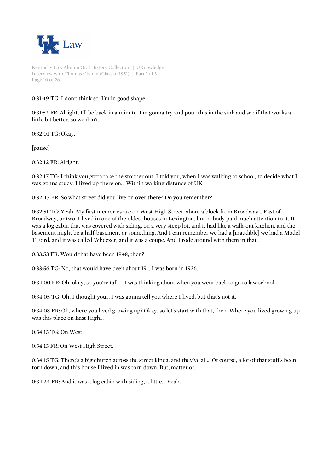

Kentucky Law Alumni Oral History Collection | UKnowledge Interview with Thomas Givhan (Class of 1951) | Part 1 of 3 Page 10 of 26

# 0:31:49 TG: I don't think so. I'm in good shape.

0:31:52 FR: Alright, I'll be back in a minute. I'm gonna try and pour this in the sink and see if that works a little bit better, so we don't...

0:32:01 TG: Okay.

[pause]

0:32:12 FR: Alright.

0:32:17 TG: I think you gotta take the stopper out. I told you, when I was walking to school, to decide what I was gonna study. I lived up there on... Within walking distance of UK.

0:32:47 FR: So what street did you live on over there? Do you remember?

0:32:51 TG: Yeah. My first memories are on West High Street, about a block from Broadway... East of Broadway, or two. I lived in one of the oldest houses in Lexington, but nobody paid much attention to it. It was a log cabin that was covered with siding, on a very steep lot, and it had like a walk-out kitchen, and the basement might be a half-basement or something. And I can remember we had a [inaudible] we had a Model T Ford, and it was called Wheezer, and it was a coupe. And I rode around with them in that.

0:33:53 FR: Would that have been 1948, then?

0:33:56 TG: No, that would have been about 19... I was born in 1926.

0:34:00 FR: Oh, okay, so you're talk... I was thinking about when you went back to go to law school.

0:34:05 TG: Oh, I thought you... I was gonna tell you where I lived, but that's not it.

0:34:08 FR: Oh, where you lived growing up? Okay, so let's start with that, then. Where you lived growing up was this place on East High...

0:34:13 TG: On West.

0:34:13 FR: On West High Street.

0:34:15 TG: There's a big church across the street kinda, and they've all... Of course, a lot of that stuff's been torn down, and this house I lived in was torn down. But, matter of...

0:34:24 FR: And it was a log cabin with siding, a little... Yeah.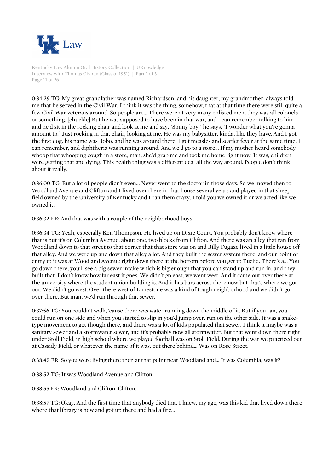

Kentucky Law Alumni Oral History Collection | UKnowledge Interview with Thomas Givhan (Class of 1951) | Part 1 of 3 Page 11 of 26

0:34:29 TG: My great-grandfather was named Richardson, and his daughter, my grandmother, always told me that he served in the Civil War. I think it was the thing, somehow, that at that time there were still quite a few Civil War veterans around. So people are... There weren't very many enlisted men, they was all colonels or something. [chuckle] But he was supposed to have been in that war, and I can remember talking to him and he'd sit in the rocking chair and look at me and say, "Sonny boy," he says, "I wonder what you're gonna amount to." Just rocking in that chair, looking at me. He was my babysitter, kinda, like they have. And I got the first dog, his name was Bobo, and he was around there. I got measles and scarlet fever at the same time, I can remember, and diphtheria was running around. And we'd go to a store... If my mother heard somebody whoop that whooping cough in a store, man, she'd grab me and took me home right now. It was, children were getting that and dying. This health thing was a different deal all the way around. People don't think about it really.

0:36:00 TG: But a lot of people didn't even... Never went to the doctor in those days. So we moved then to Woodland Avenue and Clifton and I lived over there in that house several years and played in that sheep field owned by the University of Kentucky and I ran them crazy. I told you we owned it or we acted like we owned it.

0:36:32 FR: And that was with a couple of the neighborhood boys.

0:36:34 TG: Yeah, especially Ken Thompson. He lived up on Dixie Court. You probably don't know where that is but it's on Columbia Avenue, about one, two blocks from Clifton. And there was an alley that ran from Woodland down to that street to that corner that that store was on and Billy Fugaze lived in a little house off that alley. And we were up and down that alley a lot. And they built the sewer system there, and our point of entry to it was at Woodland Avenue right down there at the bottom before you get to Euclid. There's a... You go down there, you'll see a big sewer intake which is big enough that you can stand up and run in, and they built that. I don't know how far east it goes. We didn't go east, we went west. And it came out over there at the university where the student union building is. And it has bars across there now but that's where we got out. We didn't go west. Over there west of Limestone was a kind of tough neighborhood and we didn't go over there. But man, we'd run through that sewer.

0:37:56 TG: You couldn't walk, 'cause there was water running down the middle of it. But if you ran, you could run on one side and when you started to slip in you'd jump over, run on the other side. It was a snaketype movement to get though there, and there was a lot of kids populated that sewer. I think it maybe was a sanitary sewer and a stormwater sewer, and it's probably now all stormwater. But that went down there right under Stoll Field, in high school where we played football was on Stoll Field. During the war we practiced out at Cassidy Field, or whatever the name of it was, out there behind... Was on Rose Street.

0:38:45 FR: So you were living there then at that point near Woodland and... It was Columbia, was it?

0:38:52 TG: It was Woodland Avenue and Clifton.

0:38:55 FR: Woodland and Clifton. Clifton.

0:38:57 TG: Okay. And the first time that anybody died that I knew, my age, was this kid that lived down there where that library is now and got up there and had a fire...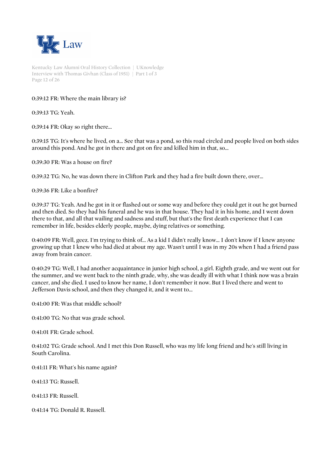

Kentucky Law Alumni Oral History Collection | UKnowledge Interview with Thomas Givhan (Class of 1951) | Part 1 of 3 Page 12 of 26

# 0:39:12 FR: Where the main library is?

0:39:13 TG: Yeah.

0:39:14 FR: Okay so right there...

0:39:15 TG: It's where he lived, on a... See that was a pond, so this road circled and people lived on both sides around this pond. And he got in there and got on fire and killed him in that, so...

0:39:30 FR: Was a house on fire?

0:39:32 TG: No, he was down there in Clifton Park and they had a fire built down there, over...

0:39:36 FR: Like a bonfire?

0:39:37 TG: Yeah. And he got in it or flashed out or some way and before they could get it out he got burned and then died. So they had his funeral and he was in that house. They had it in his home, and I went down there to that, and all that wailing and sadness and stuff, but that's the first death experience that I can remember in life, besides elderly people, maybe, dying relatives or something.

0:40:09 FR: Well, geez. I'm trying to think of... As a kid I didn't really know... I don't know if I knew anyone growing up that I knew who had died at about my age. Wasn't until I was in my 20s when I had a friend pass away from brain cancer.

0:40:29 TG: Well, I had another acquaintance in junior high school, a girl. Eighth grade, and we went out for the summer, and we went back to the ninth grade, why, she was deadly ill with what I think now was a brain cancer, and she died. I used to know her name, I don't remember it now. But I lived there and went to Jefferson Davis school, and then they changed it, and it went to...

0:41:00 FR: Was that middle school?

0:41:00 TG: No that was grade school.

0:41:01 FR: Grade school.

0:41:02 TG: Grade school. And I met this Don Russell, who was my life long friend and he's still living in South Carolina.

0:41:11 FR: What's his name again?

0:41:13 TG: Russell.

0:41:13 FR: Russell.

0:41:14 TG: Donald R. Russell.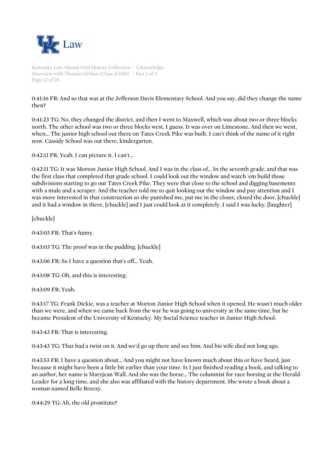

Kentucky Law Alumni Oral History Collection | UKnowledge Interview with Thomas Givhan (Class of 1951) | Part 1 of 3 Page 13 of 26

0:41:16 FR: And so that was at the Jefferson Davis Elementary School. And you say, did they change the name then?

0:41:23 TG: No, they changed the district, and then I went to Maxwell, which was about two or three blocks north. The other school was two or three blocks west, I guess. It was over on Limestone. And then we went, when... The junior high school out there on Tates Creek Pike was built. I can't think of the name of it right now. Cassidy School was out there, kindergarten.

0:42:11 FR: Yeah. I can picture it. I can't...

0:42:11 TG: It was Morton Junior High School. And I was in the class of... In the seventh grade, and that was the first class that completed that grade school. I could look out the window and watch 'em build those subdivisions starting to go out Tates Creek Pike. They were that close to the school and digging basements with a mule and a scraper. And the teacher told me to quit looking out the window and pay attention and I was more interested in that construction so she punished me, put me in the closet, closed the door, [chuckle] and it had a window in there, [chuckle] and I just could look at it completely. I said I was lucky. [laughter]

[chuckle]

0:43:03 FR: That's funny.

0:43:03 TG: The proof was in the pudding. [chuckle]

0:43:06 FR: So I have a question that's off... Yeah.

0:43:08 TG: Oh, and this is interesting.

0:43:09 FR: Yeah.

0:43:17 TG: Frank Dickie, was a teacher at Morton Junior High School when it opened. He wasn't much older than we were, and when we came back from the war he was going to university at the same time, but he became President of the University of Kentucky. My Social Science teacher in Junior High School.

0:43:43 FR: That is interesting.

0:43:43 TG: That had a twist on it. And we'd go up there and see him. And his wife died not long ago.

0:43:53 FR: I have a question about... And you might not have known much about this or have heard, just because it might have been a little bit earlier than your time. Is I just finished reading a book, and talking to an author, her name is Maryjean Wall. And she was the horse... The columnist for race horsing at the Herald-Leader for a long time, and she also was affiliated with the history department. She wrote a book about a woman named Belle Breezy.

0:44:29 TG: Ah, the old prostitute?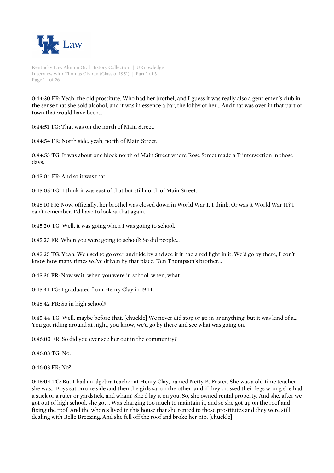

Kentucky Law Alumni Oral History Collection | UKnowledge Interview with Thomas Givhan (Class of 1951) | Part 1 of 3 Page 14 of 26

0:44:30 FR: Yeah, the old prostitute. Who had her brothel, and I guess it was really also a gentlemen's club in the sense that she sold alcohol, and it was in essence a bar, the lobby of her... And that was over in that part of town that would have been...

0:44:51 TG: That was on the north of Main Street.

0:44:54 FR: North side, yeah, north of Main Street.

0:44:55 TG: It was about one block north of Main Street where Rose Street made a T intersection in those days.

0:45:04 FR: And so it was that...

0:45:05 TG: I think it was east of that but still north of Main Street.

0:45:10 FR: Now, officially, her brothel was closed down in World War I, I think. Or was it World War II? I can't remember. I'd have to look at that again.

0:45:20 TG: Well, it was going when I was going to school.

0:45:23 FR: When you were going to school? So did people...

0:45:25 TG: Yeah. We used to go over and ride by and see if it had a red light in it. We'd go by there, I don't know how many times we've driven by that place. Ken Thompson's brother...

0:45:36 FR: Now wait, when you were in school, when, what...

0:45:41 TG: I graduated from Henry Clay in 1944.

0:45:42 FR: So in high school?

0:45:44 TG: Well, maybe before that. [chuckle] We never did stop or go in or anything, but it was kind of a... You got riding around at night, you know, we'd go by there and see what was going on.

0:46:00 FR: So did you ever see her out in the community?

0:46:03 TG: No.

0:46:03 FR: No?

0:46:04 TG: But I had an algebra teacher at Henry Clay, named Netty B. Foster. She was a old-time teacher, she was... Boys sat on one side and then the girls sat on the other, and if they crossed their legs wrong she had a stick or a ruler or yardstick, and wham! She'd lay it on you. So, she owned rental property. And she, after we got out of high school, she got... Was charging too much to maintain it, and so she got up on the roof and fixing the roof. And the whores lived in this house that she rented to those prostitutes and they were still dealing with Belle Breezing. And she fell off the roof and broke her hip. [chuckle]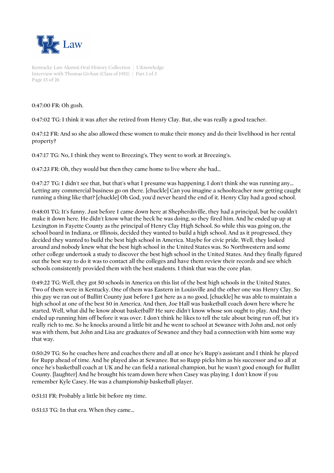

Kentucky Law Alumni Oral History Collection | UKnowledge Interview with Thomas Givhan (Class of 1951) | Part 1 of 3 Page 15 of 26

0:47:00 FR: Oh gosh.

0:47:02 TG: I think it was after she retired from Henry Clay. But, she was really a good teacher.

0:47:12 FR: And so she also allowed these women to make their money and do their livelihood in her rental property?

0:47:17 TG: No, I think they went to Breezing's. They went to work at Breezing's.

0:47:23 FR: Oh, they would but then they came home to live where she had...

0:47:27 TG: I didn't see that, but that's what I presume was happening. I don't think she was running any... Letting any commercial business go on there. [chuckle] Can you imagine a schoolteacher now getting caught running a thing like that? [chuckle] Oh God, you'd never heard the end of it. Henry Clay had a good school.

0:48:01 TG: It's funny. Just before I came down here at Shepherdsville, they had a principal, but he couldn't make it down here. He didn't know what the heck he was doing, so they fired him. And he ended up up at Lexington in Fayette County as the principal of Henry Clay High School. So while this was going on, the school board in Indiana, or Illinois, decided they wanted to build a high school. And as it progressed, they decided they wanted to build the best high school in America. Maybe for civic pride. Well, they looked around and nobody knew what the best high school in the United States was. So Northwestern and some other college undertook a study to discover the best high school in the United States. And they finally figured out the best way to do it was to contact all the colleges and have them review their records and see which schools consistently provided them with the best students. I think that was the core plan.

0:49:22 TG: Well, they got 50 schools in America on this list of the best high schools in the United States. Two of them were in Kentucky. One of them was Eastern in Louisville and the other one was Henry Clay. So this guy we ran out of Bullitt County just before I got here as a no good, [chuckle] he was able to maintain a high school at one of the best 50 in America. And then, Joe Hall was basketball coach down here where he started. Well, what did he know about basketball? He sure didn't know whose son ought to play. And they ended up running him off before it was over. I don't think he likes to tell the tale about being run off, but it's really rich to me. So he knocks around a little bit and he went to school at Sewanee with John and, not only was with them, but John and Lisa are graduates of Sewanee and they had a connection with him some way that way.

0:50:29 TG: So he coaches here and coaches there and all at once he's Rupp's assistant and I think he played for Rupp ahead of time. And he played also at Sewanee. But so Rupp picks him as his successor and so all at once he's basketball coach at UK and he can field a national champion, but he wasn't good enough for Bullitt County. [laughter] And he brought his team down here when Casey was playing. I don't know if you remember Kyle Casey. He was a championship basketball player.

0:51:11 FR: Probably a little bit before my time.

0:51:13 TG: In that era. When they came...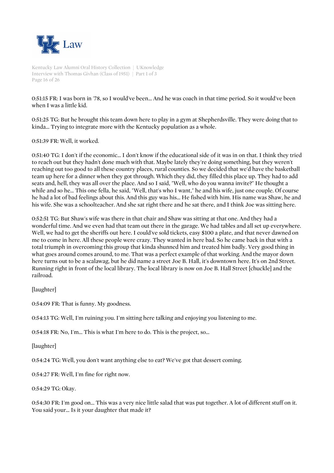

Kentucky Law Alumni Oral History Collection | UKnowledge Interview with Thomas Givhan (Class of 1951) | Part 1 of 3 Page 16 of 26

0:51:15 FR: I was born in '78, so I would've been... And he was coach in that time period. So it would've been when I was a little kid.

0:51:25 TG: But he brought this team down here to play in a gym at Shepherdsville. They were doing that to kinda... Trying to integrate more with the Kentucky population as a whole.

0:51:39 FR: Well, it worked.

0:51:40 TG: I don't if the economic... I don't know if the educational side of it was in on that. I think they tried to reach out but they hadn't done much with that. Maybe lately they're doing something, but they weren't reaching out too good to all these country places, rural counties. So we decided that we'd have the basketball team up here for a dinner when they got through. Which they did, they filled this place up. They had to add seats and, hell, they was all over the place. And so I said, "Well, who do you wanna invite?" He thought a while and so he... This one fella, he said, "Well, that's who I want," he and his wife, just one couple. Of course he had a lot of bad feelings about this. And this guy was his... He fished with him. His name was Shaw, he and his wife. She was a schoolteacher. And she sat right there and he sat there, and I think Joe was sitting here.

0:52:51 TG: But Shaw's wife was there in that chair and Shaw was sitting at that one. And they had a wonderful time. And we even had that team out there in the garage. We had tables and all set up everywhere. Well, we had to get the sheriffs out here. I could've sold tickets, easy \$100 a plate, and that never dawned on me to come in here. All these people were crazy. They wanted in here bad. So he came back in that with a total triumph in overcoming this group that kinda shunned him and treated him badly. Very good thing in what goes around comes around, to me. That was a perfect example of that working. And the mayor down here turns out to be a scalawag, but he did name a street Joe B. Hall, it's downtown here. It's on 2nd Street. Running right in front of the local library. The local library is now on Joe B. Hall Street [chuckle] and the railroad.

[laughter]

0:54:09 FR: That is funny. My goodness.

0:54:13 TG: Well, I'm ruining you. I'm sitting here talking and enjoying you listening to me.

0:54:18 FR: No, I'm... This is what I'm here to do. This is the project, so...

[laughter]

0:54:24 TG: Well, you don't want anything else to eat? We've got that dessert coming.

0:54:27 FR: Well, I'm fine for right now.

0:54:29 TG: Okay.

0:54:30 FR: I'm good on... This was a very nice little salad that was put together. A lot of different stuff on it. You said your... Is it your daughter that made it?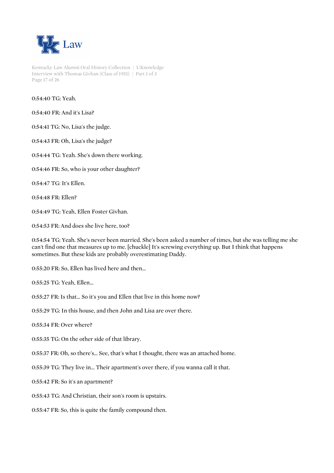

Kentucky Law Alumni Oral History Collection | UKnowledge Interview with Thomas Givhan (Class of 1951) | Part 1 of 3 Page 17 of 26

0:54:40 TG: Yeah.

0:54:40 FR: And it's Lisa?

0:54:41 TG: No, Lisa's the judge.

0:54:43 FR: Oh, Lisa's the judge?

0:54:44 TG: Yeah. She's down there working.

0:54:46 FR: So, who is your other daughter?

0:54:47 TG: It's Ellen.

0:54:48 FR: Ellen?

0:54:49 TG: Yeah, Ellen Foster Givhan.

0:54:53 FR: And does she live here, too?

0:54:54 TG: Yeah. She's never been married. She's been asked a number of times, but she was telling me she can't find one that measures up to me. [chuckle] It's screwing everything up. But I think that happens sometimes. But these kids are probably overestimating Daddy.

0:55:20 FR: So, Ellen has lived here and then...

0:55:25 TG: Yeah, Ellen...

0:55:27 FR: Is that... So it's you and Ellen that live in this home now?

0:55:29 TG: In this house, and then John and Lisa are over there.

0:55:34 FR: Over where?

0:55:35 TG: On the other side of that library.

0:55:37 FR: Oh, so there's... See, that's what I thought, there was an attached home.

0:55:39 TG: They live in... Their apartment's over there, if you wanna call it that.

0:55:42 FR: So it's an apartment?

0:55:43 TG: And Christian, their son's room is upstairs.

0:55:47 FR: So, this is quite the family compound then.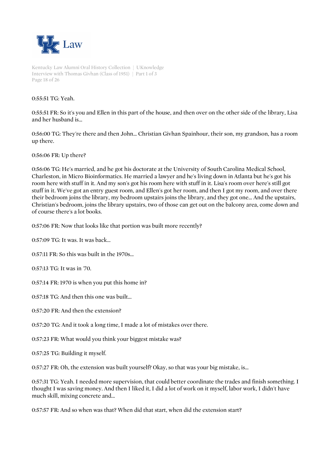

Kentucky Law Alumni Oral History Collection | UKnowledge Interview with Thomas Givhan (Class of 1951) | Part 1 of 3 Page 18 of 26

0:55:51 TG: Yeah.

0:55:51 FR: So it's you and Ellen in this part of the house, and then over on the other side of the library, Lisa and her husband is...

0:56:00 TG: They're there and then John... Christian Givhan Spainhour, their son, my grandson, has a room up there.

0:56:06 FR: Up there?

0:56:06 TG: He's married, and he got his doctorate at the University of South Carolina Medical School, Charleston, in Micro Bioinformatics. He married a lawyer and he's living down in Atlanta but he's got his room here with stuff in it. And my son's got his room here with stuff in it. Lisa's room over here's still got stuff in it. We've got an entry guest room, and Ellen's got her room, and then I got my room, and over there their bedroom joins the library, my bedroom upstairs joins the library, and they got one... And the upstairs, Christian's bedroom, joins the library upstairs, two of those can get out on the balcony area, come down and of course there's a lot books.

0:57:06 FR: Now that looks like that portion was built more recently?

0:57:09 TG: It was. It was back...

0:57:11 FR: So this was built in the 1970s...

0:57:13 TG: It was in '70.

0:57:14 FR: 1970 is when you put this home in?

0:57:18 TG: And then this one was built...

0:57:20 FR: And then the extension?

0:57:20 TG: And it took a long time, I made a lot of mistakes over there.

0:57:23 FR: What would you think your biggest mistake was?

0:57:25 TG: Building it myself.

0:57:27 FR: Oh, the extension was built yourself? Okay, so that was your big mistake, is...

0:57:31 TG: Yeah. I needed more supervision, that could better coordinate the trades and finish something. I thought I was saving money. And then I liked it, I did a lot of work on it myself, labor work, I didn't have much skill, mixing concrete and...

0:57:57 FR: And so when was that? When did that start, when did the extension start?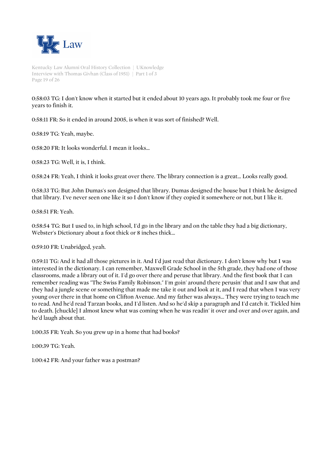

Kentucky Law Alumni Oral History Collection | UKnowledge Interview with Thomas Givhan (Class of 1951) | Part 1 of 3 Page 19 of 26

0:58:03 TG: I don't know when it started but it ended about 10 years ago. It probably took me four or five years to finish it.

0:58:11 FR: So it ended in around 2005, is when it was sort of finished? Well.

0:58:19 TG: Yeah, maybe.

0:58:20 FR: It looks wonderful. I mean it looks...

0:58:23 TG: Well, it is, I think.

0:58:24 FR: Yeah, I think it looks great over there. The library connection is a great... Looks really good.

0:58:33 TG: But John Dumas's son designed that library. Dumas designed the house but I think he designed that library. I've never seen one like it so I don't know if they copied it somewhere or not, but I like it.

0:58:51 FR: Yeah.

0:58:54 TG: But I used to, in high school, I'd go in the library and on the table they had a big dictionary, Webster's Dictionary about a foot thick or 8 inches thick...

0:59:10 FR: Unabridged, yeah.

0:59:11 TG: And it had all those pictures in it. And I'd just read that dictionary. I don't know why but I was interested in the dictionary. I can remember, Maxwell Grade School in the 5th grade, they had one of those classrooms, made a library out of it. I'd go over there and peruse that library. And the first book that I can remember reading was "The Swiss Family Robinson." I'm goin' around there perusin' that and I saw that and they had a jungle scene or something that made me take it out and look at it, and I read that when I was very young over there in that home on Clifton Avenue. And my father was always... They were trying to teach me to read. And he'd read Tarzan books, and I'd listen. And so he'd skip a paragraph and I'd catch it. Tickled him to death. [chuckle] I almost knew what was coming when he was readin' it over and over and over again, and he'd laugh about that.

1:00:35 FR: Yeah. So you grew up in a home that had books?

1:00:39 TG: Yeah.

1:00:42 FR: And your father was a postman?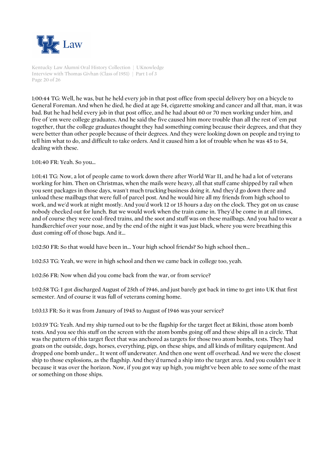

Kentucky Law Alumni Oral History Collection | UKnowledge Interview with Thomas Givhan (Class of 1951) | Part 1 of 3 Page 20 of 26

1:00:44 TG: Well, he was, but he held every job in that post office from special delivery boy on a bicycle to General Foreman. And when he died, he died at age 54, cigarette smoking and cancer and all that, man, it was bad. But he had held every job in that post office, and he had about 60 or 70 men working under him, and five of 'em were college graduates. And he said the five caused him more trouble than all the rest of 'em put together, that the college graduates thought they had something coming because their degrees, and that they were better than other people because of their degrees. And they were looking down on people and trying to tell him what to do, and difficult to take orders. And it caused him a lot of trouble when he was 45 to 54, dealing with these.

1:01:40 FR: Yeah. So you...

1:01:41 TG: Now, a lot of people came to work down there after World War II, and he had a lot of veterans working for him. Then on Christmas, when the mails were heavy, all that stuff came shipped by rail when you sent packages in those days, wasn't much trucking business doing it. And they'd go down there and unload these mailbags that were full of parcel post. And he would hire all my friends from high school to work, and we'd work at night mostly. And you'd work 12 or 15 hours a day on the clock. They got on us cause nobody checked out for lunch. But we would work when the train came in. They'd be come in at all times, and of course they were coal-fired trains, and the soot and stuff was on these mailbags. And you had to wear a handkerchief over your nose, and by the end of the night it was just black, where you were breathing this dust coming off of those bags. And it...

1:02:50 FR: So that would have been in... Your high school friends? So high school then...

1:02:53 TG: Yeah, we were in high school and then we came back in college too, yeah.

1:02:56 FR: Now when did you come back from the war, or from service?

1:02:58 TG: I got discharged August of 25th of 1946, and just barely got back in time to get into UK that first semester. And of course it was full of veterans coming home.

1:03:13 FR: So it was from January of 1945 to August of 1946 was your service?

1:03:19 TG: Yeah. And my ship turned out to be the flagship for the target fleet at Bikini, those atom bomb tests. And you see this stuff on the screen with the atom bombs going off and these ships all in a circle. That was the pattern of this target fleet that was anchored as targets for those two atom bombs, tests. They had goats on the outside, dogs, horses, everything, pigs, on these ships, and all kinds of military equipment. And dropped one bomb under... It went off underwater. And then one went off overhead. And we were the closest ship to those explosions, as the flagship. And they'd turned a ship into the target area. And you couldn't see it because it was over the horizon. Now, if you got way up high, you might've been able to see some of the mast or something on those ships.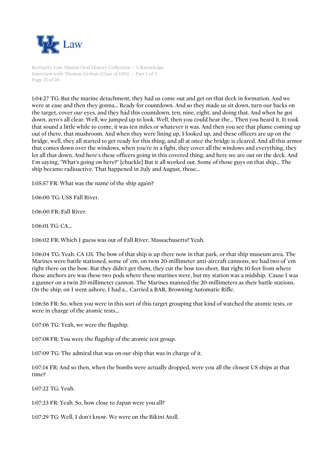

Kentucky Law Alumni Oral History Collection | UKnowledge Interview with Thomas Givhan (Class of 1951) | Part 1 of 3 Page 21 of 26

1:04:27 TG: But the marine detachment, they had us come out and get on that deck in formation. And we were at ease and then they gonna... Ready for countdown. And so they made us sit down, turn our backs on the target, cover our eyes, and they had this countdown, ten, nine, eight, and doing that. And when he got down, zero's all clear. Well, we jumped up to look. Well, then you could hear the... Then you heard it. It took that sound a little while to come, it was ten miles or whatever it was. And then you see that plume coming up out of there, that mushroom. And when they were lining up, I looked up, and these officers are up on the bridge, well, they all started to get ready for this thing, and all at once the bridge is cleared. And all this armor that comes down over the windows, when you're in a fight, they cover all the windows and everything, they let all that down. And here's these officers going in this covered thing, and here we are out on the deck. And I'm saying, "What's going on here?" [chuckle] But it all worked out. Some of those guys on that ship... The ship became radioactive. That happened in July and August, those...

1:05:57 FR: What was the name of the ship again?

1:06:00 TG: USS Fall River.

1:06:00 FR: Fall River.

1:06:01 TG: CA...

1:06:02 FR: Which I guess was out of Fall River, Massachusetts? Yeah.

1:06:04 TG: Yeah. CA 131. The bow of that ship is up there now in that park, or that ship museum area. The Marines were battle stationed, some of 'em, on twin 20-millimeter anti-aircraft cannons, we had two of 'em right there on the bow. But they didn't get them, they cut the bow too short. But right 10 feet from where those anchors are was these two pods where these marines were, but my station was a midship. 'Cause I was a gunner on a twin 20-millimeter cannon. The Marines manned the 20-millimeters as their battle stations. On the ship, on I went ashore, I had a... Carried a BAR, Browning Automatic Rifle.

1:06:56 FR: So, when you were in this sort of this target grouping that kind of watched the atomic tests, or were in charge of the atomic tests...

1:07:06 TG: Yeah, we were the flagship.

1:07:08 FR: You were the flagship of the atomic test group.

1:07:09 TG: The admiral that was on our ship that was in charge of it.

1:07:14 FR: And so then, when the bombs were actually dropped, were you all the closest US ships at that time?

1:07:22 TG: Yeah.

1:07:23 FR: Yeah. So, how close to Japan were you all?

1:07:29 TG: Well, I don't know. We were on the Bikini Atoll.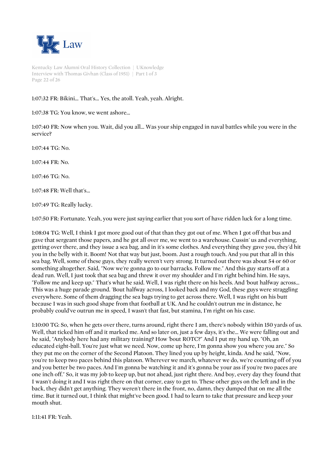

Kentucky Law Alumni Oral History Collection | UKnowledge Interview with Thomas Givhan (Class of 1951) | Part 1 of 3 Page 22 of 26

# 1:07:32 FR: Bikini... That's... Yes, the atoll. Yeah, yeah. Alright.

1:07:38 TG: You know, we went ashore...

1:07:40 FR: Now when you. Wait, did you all... Was your ship engaged in naval battles while you were in the service?

1:07:44 TG: No.

1:07:44 FR: No.

1:07:46 TG: No.

1:07:48 FR: Well that's...

1:07:49 TG: Really lucky.

1:07:50 FR: Fortunate. Yeah, you were just saying earlier that you sort of have ridden luck for a long time.

1:08:04 TG: Well, I think I got more good out of that than they got out of me. When I got off that bus and gave that sergeant those papers, and he got all over me, we went to a warehouse. Cussin' us and everything, getting over there, and they issue a sea bag, and in it's some clothes. And everything they gave you, they'd hit you in the belly with it. Boom! Not that way but just, boom. Just a rough touch. And you put that all in this sea bag. Well, some of these guys, they really weren't very strong. It turned out there was about 54 or 60 or something altogether. Said, "Now we're gonna go to our barracks. Follow me." And this guy starts off at a dead run. Well, I just took that sea bag and threw it over my shoulder and I'm right behind him. He says, "Follow me and keep up." That's what he said. Well, I was right there on his heels. And 'bout halfway across... This was a huge parade ground. 'Bout halfway across, I looked back and my God, these guys were straggling everywhere. Some of them dragging the sea bags trying to get across there. Well, I was right on his butt because I was in such good shape from that football at UK. And he couldn't outrun me in distance, he probably could've outrun me in speed, I wasn't that fast, but stamina, I'm right on his case.

1:10:00 TG: So, when he gets over there, turns around, right there I am, there's nobody within 150 yards of us. Well, that ticked him off and it marked me. And so later on, just a few days, it's the... We were falling out and he said, "Anybody here had any military training? How 'bout ROTC?" And I put my hand up. "Oh, an educated eight-ball. You're just what we need. Now, come up here, I'm gonna show you where you are." So they put me on the corner of the Second Platoon. They lined you up by height, kinda. And he said, "Now, you're to keep two paces behind this platoon. Wherever we march, whatever we do, we're counting off of you and you better be two paces. And I'm gonna be watching it and it's gonna be your ass if you're two paces are one inch off." So, it was my job to keep up, but not ahead, just right there. And boy, every day they found that I wasn't doing it and I was right there on that corner, easy to get to. These other guys on the left and in the back, they didn't get anything. They weren't there in the front, no, damn, they dumped that on me all the time. But it turned out, I think that might've been good. I had to learn to take that pressure and keep your mouth shut.

1:11:41 FR: Yeah.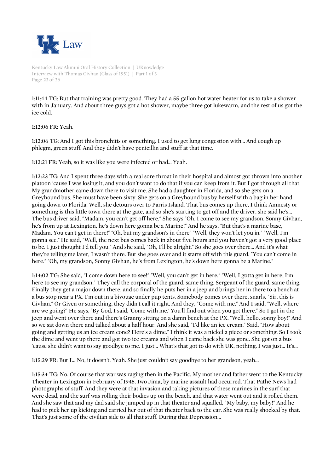

Kentucky Law Alumni Oral History Collection | UKnowledge Interview with Thomas Givhan (Class of 1951) | Part 1 of 3 Page 23 of 26

1:11:44 TG: But that training was pretty good. They had a 55-gallon hot water heater for us to take a shower with in January. And about three guys got a hot shower, maybe three got lukewarm, and the rest of us got the ice cold.

1:12:06 FR: Yeah.

1:12:06 TG: And I got this bronchitis or something. I used to get lung congestion with... And cough up phlegm, green stuff. And they didn't have penicillin and stuff at that time.

1:12:21 FR: Yeah, so it was like you were infected or had... Yeah.

1:12:23 TG: And I spent three days with a real sore throat in their hospital and almost got thrown into another platoon 'cause I was losing it, and you don't want to do that if you can keep from it. But I got through all that. My grandmother came down there to visit me. She had a daughter in Florida, and so she gets on a Greyhound bus. She must have been sixty. She gets on a Greyhound bus by herself with a bag in her hand going down to Florida. Well, she detours over to Parris Island. That bus comes up there, I think Amnesty or something is this little town there at the gate, and so she's starting to get off and the driver, she said he's... The bus driver said, "Madam, you can't get off here." She says "Oh, I come to see my grandson. Sonny Givhan, he's from up at Lexington, he's down here gonna be a Marine!" And he says, "But that's a marine base, Madam. You can't get in there!" "Oh, but my grandson's in there" "Well, they won't let you in." "Well, I'm gonna see." He said, "Well, the next bus comes back in about five hours and you haven't got a very good place to be. I just thought I'd tell you." And she said, "Oh, I'll be alright." So she goes over there... And it's what they're telling me later, I wasn't there. But she goes over and it starts off with this guard. "You can't come in here." "Oh, my grandson, Sonny Givhan, he's from Lexington, he's down here gonna be a Marine."

1:14:02 TG: She said, "I come down here to see!" "Well, you can't get in here." "Well, I gotta get in here, I'm here to see my grandson." They call the corporal of the guard, same thing. Sergeant of the guard, same thing. Finally they get a major down there, and so finally he puts her in a jeep and brings her in there to a bench at a bus stop near a PX. I'm out in a bivouac under pup tents. Somebody comes over there, snarls, "Sir, this is Givhan." Or Given or something, they didn't call it right. And they, "Come with me." And I said, "Well, where are we going?" He says, "By God, I said, 'Come with me.' You'll find out when you get there." So I got in the jeep and went over there and there's Granny sitting on a damn bench at the PX. "Well, hello, sonny boy!" And so we sat down there and talked about a half hour. And she said, "I'd like an ice cream." Said, "How about going and getting us an ice cream cone? Here's a dime." I think it was a nickel a piece or something. So I took the dime and went up there and got two ice creams and when I came back she was gone. She got on a bus 'cause she didn't want to say goodbye to me. I just... What's that got to do with UK, nothing. I was just... It's...

1:15:29 FR: But I... No, it doesn't. Yeah. She just couldn't say goodbye to her grandson, yeah...

1:15:34 TG: No. Of course that war was raging then in the Pacific. My mother and father went to the Kentucky Theater in Lexington in February of 1945. Iwo Jima, by marine assault had occurred. That Pathé News had photographs of stuff. And they were at that invasion and taking pictures of these marines in the surf that were dead, and the surf was rolling their bodies up on the beach, and that water went out and it rolled them. And she saw that and my dad said she jumped up in that theater and squalled, "My baby, my baby!" And he had to pick her up kicking and carried her out of that theater back to the car. She was really shocked by that. That's just some of the civilian side to all that stuff. During that Depression...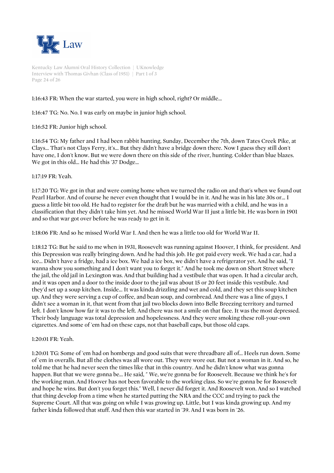

Kentucky Law Alumni Oral History Collection | UKnowledge Interview with Thomas Givhan (Class of 1951) | Part 1 of 3 Page 24 of 26

# 1:16:43 FR: When the war started, you were in high school, right? Or middle...

## 1:16:47 TG: No. No. I was early on maybe in junior high school.

1:16:52 FR: Junior high school.

1:16:54 TG: My father and I had been rabbit hunting, Sunday, December the 7th, down Tates Creek Pike, at Clays... That's not Clays Ferry, it's... But they didn't have a bridge down there. Now I guess they still don't have one, I don't know. But we were down there on this side of the river, hunting. Colder than blue blazes. We got in this old... He had this '37 Dodge...

### 1:17:19 FR: Yeah.

1:17:20 TG: We got in that and were coming home when we turned the radio on and that's when we found out Pearl Harbor. And of course he never even thought that I would be in it. And he was in his late 30s or... I guess a little bit too old. He had to register for the draft but he was married with a child, and he was in a classification that they didn't take him yet. And he missed World War II just a little bit. He was born in 1901 and so that war got over before he was ready to get in it.

1:18:06 FR: And so he missed World War I. And then he was a little too old for World War II.

1:18:12 TG: But he said to me when in 1931, Roosevelt was running against Hoover, I think, for president. And this Depression was really bringing down. And he had this job. He got paid every week. We had a car, had a ice... Didn't have a fridge, had a ice box. We had a ice box, we didn't have a refrigerator yet. And he said, "I wanna show you something and I don't want you to forget it." And he took me down on Short Street where the jail, the old jail in Lexington was. And that building had a vestibule that was open. It had a circular arch, and it was open and a door to the inside door to the jail was about 15 or 20 feet inside this vestibule. And they'd set up a soup kitchen. Inside... It was kinda drizzling and wet and cold, and they set this soup kitchen up. And they were serving a cup of coffee, and bean soup, and cornbread. And there was a line of guys, I didn't see a woman in it, that went from that jail two blocks down into Belle Breezing territory and turned left. I don't know how far it was to the left. And there was not a smile on that face. It was the most depressed. Their body language was total depression and hopelessness. And they were smoking these roll-your-own cigarettes. And some of 'em had on these caps, not that baseball caps, but those old caps.

#### 1:20:01 FR: Yeah.

1:20:01 TG: Some of 'em had on hombergs and good suits that were threadbare all of... Heels run down. Some of 'em in overalls. But all the clothes was all wore out. They were wore out. But not a woman in it. And so, he told me that he had never seen the times like that in this country. And he didn't know what was gonna happen. But that we were gonna be... He said, " We, we're gonna be for Roosevelt. Because we think he's for the working man. And Hoover has not been favorable to the working class. So we're gonna be for Roosevelt and hope he wins. But don't you forget this." Well, I never did forget it. And Roosevelt won. And so I watched that thing develop from a time when he started putting the NRA and the CCC and trying to pack the Supreme Court. All that was going on while I was growing up. Little, but I was kinda growing up. And my father kinda followed that stuff. And then this war started in '39. And I was born in '26.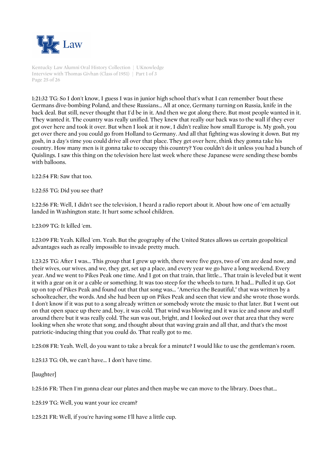

Kentucky Law Alumni Oral History Collection | UKnowledge Interview with Thomas Givhan (Class of 1951) | Part 1 of 3 Page 25 of 26

1:21:32 TG: So I don't know, I guess I was in junior high school that's what I can remember 'bout these Germans dive-bombing Poland, and these Russians... All at once, Germany turning on Russia, knife in the back deal. But still, never thought that I'd be in it. And then we got along there. But most people wanted in it. They wanted it. The country was really unified. They knew that really our back was to the wall if they ever got over here and took it over. But when I look at it now, I didn't realize how small Europe is. My gosh, you get over there and you could go from Holland to Germany. And all that fighting was slowing it down. But my gosh, in a day's time you could drive all over that place. They get over here, think they gonna take his country. How many men is it gonna take to occupy this country? You couldn't do it unless you had a bunch of Quislings. I saw this thing on the television here last week where these Japanese were sending these bombs with balloons.

1:22:54 FR: Saw that too.

1:22:55 TG: Did you see that?

1:22:56 FR: Well, I didn't see the television, I heard a radio report about it. About how one of 'em actually landed in Washington state. It hurt some school children.

1:23:09 TG: It killed 'em.

1:23:09 FR: Yeah. Killed 'em. Yeah. But the geography of the United States allows us certain geopolitical advantages such as really impossible to invade pretty much.

1:23:25 TG: After I was... This group that I grew up with, there were five guys, two of 'em are dead now, and their wives, our wives, and we, they get, set up a place, and every year we go have a long weekend. Every year. And we went to Pikes Peak one time. And I got on that train, that little... That train is leveled but it went it with a gear on it or a cable or something. It was too steep for the wheels to turn. It had... Pulled it up. Got up on top of Pikes Peak and found out that that song was... "America the Beautiful," that was written by a schoolteacher, the words. And she had been up on Pikes Peak and seen that view and she wrote those words. I don't know if it was put to a song already written or somebody wrote the music to that later. But I went out on that open space up there and, boy, it was cold. That wind was blowing and it was ice and snow and stuff around there but it was really cold. The sun was out, bright, and I looked out over that area that they were looking when she wrote that song, and thought about that waving grain and all that, and that's the most patriotic-inducing thing that you could do. That really got to me.

1:25:08 FR: Yeah. Well, do you want to take a break for a minute? I would like to use the gentleman's room.

1:25:13 TG: Oh, we can't have... I don't have time.

[laughter]

1:25:16 FR: Then I'm gonna clear our plates and then maybe we can move to the library. Does that...

1:25:19 TG: Well, you want your ice cream?

1:25:21 FR: Well, if you're having some I'll have a little cup.